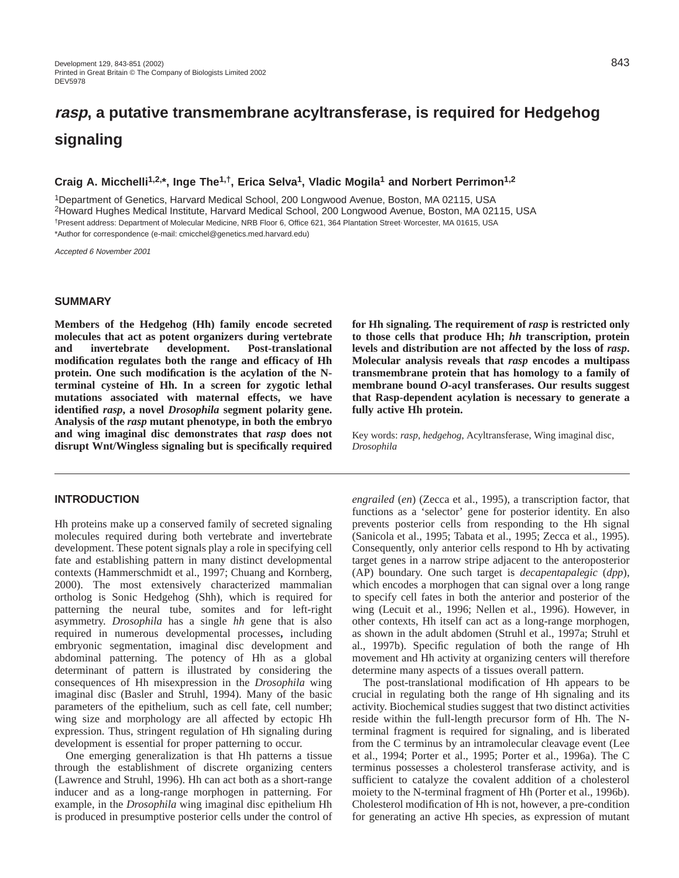# **rasp, a putative transmembrane acyltransferase, is required for Hedgehog signaling**

# **Craig A. Micchelli1,2,\*, Inge The1,†, Erica Selva1, Vladic Mogila1 and Norbert Perrimon1,2**

1Department of Genetics, Harvard Medical School, 200 Longwood Avenue, Boston, MA 02115, USA 2Howard Hughes Medical Institute, Harvard Medical School, 200 Longwood Avenue, Boston, MA 02115, USA †Present address: Department of Molecular Medicine, NRB Floor 6, Office 621, 364 Plantation Street, Worcester, MA 01615, USA \*Author for correspondence (e-mail: cmicchel@genetics.med.harvard.edu)

Accepted 6 November 2001

# **SUMMARY**

**Members of the Hedgehog (Hh) family encode secreted molecules that act as potent organizers during vertebrate and invertebrate development. Post-translational modification regulates both the range and efficacy of Hh protein. One such modification is the acylation of the Nterminal cysteine of Hh. In a screen for zygotic lethal mutations associated with maternal effects, we have identified** *rasp***, a novel** *Drosophila* **segment polarity gene. Analysis of the** *rasp* **mutant phenotype, in both the embryo and wing imaginal disc demonstrates that** *rasp* **does not disrupt Wnt/Wingless signaling but is specifically required**

# **INTRODUCTION**

Hh proteins make up a conserved family of secreted signaling molecules required during both vertebrate and invertebrate development. These potent signals play a role in specifying cell fate and establishing pattern in many distinct developmental contexts (Hammerschmidt et al., 1997; Chuang and Kornberg, 2000). The most extensively characterized mammalian ortholog is Sonic Hedgehog (Shh), which is required for patterning the neural tube, somites and for left-right asymmetry. *Drosophila* has a single *hh* gene that is also required in numerous developmental processes**,** including embryonic segmentation, imaginal disc development and abdominal patterning. The potency of Hh as a global determinant of pattern is illustrated by considering the consequences of Hh misexpression in the *Drosophila* wing imaginal disc (Basler and Struhl, 1994). Many of the basic parameters of the epithelium, such as cell fate, cell number; wing size and morphology are all affected by ectopic Hh expression. Thus, stringent regulation of Hh signaling during development is essential for proper patterning to occur.

One emerging generalization is that Hh patterns a tissue through the establishment of discrete organizing centers (Lawrence and Struhl, 1996). Hh can act both as a short-range inducer and as a long-range morphogen in patterning. For example, in the *Drosophila* wing imaginal disc epithelium Hh is produced in presumptive posterior cells under the control of

**for Hh signaling. The requirement of** *rasp* **is restricted only to those cells that produce Hh;** *hh* **transcription, protein levels and distribution are not affected by the loss of** *rasp***. Molecular analysis reveals that** *rasp* **encodes a multipass transmembrane protein that has homology to a family of membrane bound** *O***-acyl transferases. Our results suggest that Rasp-dependent acylation is necessary to generate a fully active Hh protein.**

Key words: *rasp*, *hedgehog*, Acyltransferase, Wing imaginal disc, *Drosophila*

*engrailed* (*en*) (Zecca et al., 1995), a transcription factor, that functions as a 'selector' gene for posterior identity. En also prevents posterior cells from responding to the Hh signal (Sanicola et al., 1995; Tabata et al., 1995; Zecca et al., 1995). Consequently, only anterior cells respond to Hh by activating target genes in a narrow stripe adjacent to the anteroposterior (AP) boundary. One such target is *decapentapalegic* (*dpp*), which encodes a morphogen that can signal over a long range to specify cell fates in both the anterior and posterior of the wing (Lecuit et al., 1996; Nellen et al., 1996). However, in other contexts, Hh itself can act as a long-range morphogen, as shown in the adult abdomen (Struhl et al., 1997a; Struhl et al., 1997b). Specific regulation of both the range of Hh movement and Hh activity at organizing centers will therefore determine many aspects of a tissues overall pattern.

The post-translational modification of Hh appears to be crucial in regulating both the range of Hh signaling and its activity. Biochemical studies suggest that two distinct activities reside within the full-length precursor form of Hh. The Nterminal fragment is required for signaling, and is liberated from the C terminus by an intramolecular cleavage event (Lee et al., 1994; Porter et al., 1995; Porter et al., 1996a). The C terminus possesses a cholesterol transferase activity, and is sufficient to catalyze the covalent addition of a cholesterol moiety to the N-terminal fragment of Hh (Porter et al., 1996b). Cholesterol modification of Hh is not, however, a pre-condition for generating an active Hh species, as expression of mutant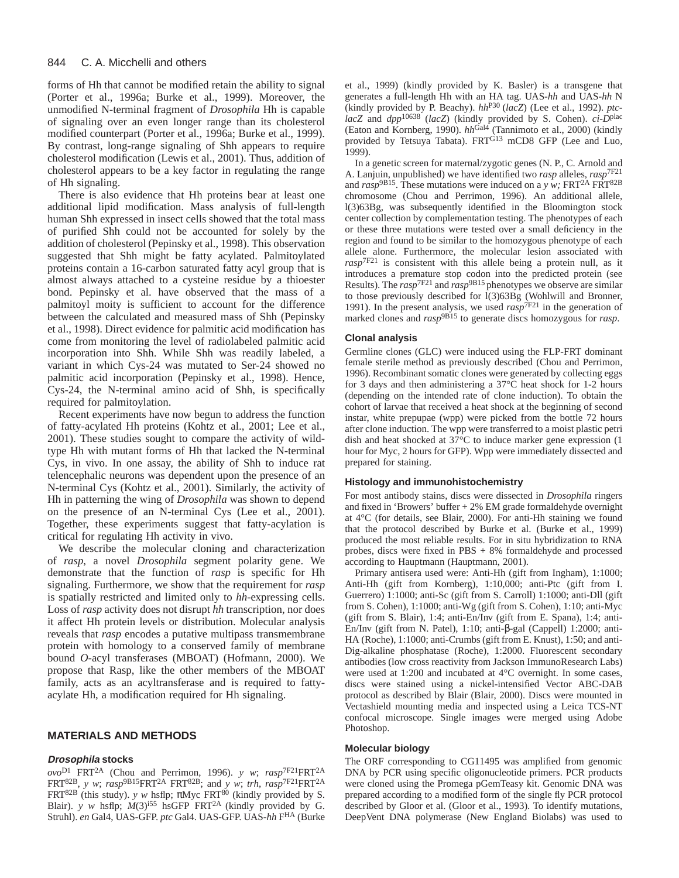forms of Hh that cannot be modified retain the ability to signal (Porter et al., 1996a; Burke et al., 1999). Moreover, the unmodified N-terminal fragment of *Drosophila* Hh is capable of signaling over an even longer range than its cholesterol modified counterpart (Porter et al., 1996a; Burke et al., 1999). By contrast, long-range signaling of Shh appears to require cholesterol modification (Lewis et al., 2001). Thus, addition of cholesterol appears to be a key factor in regulating the range of Hh signaling.

There is also evidence that Hh proteins bear at least one additional lipid modification. Mass analysis of full-length human Shh expressed in insect cells showed that the total mass of purified Shh could not be accounted for solely by the addition of cholesterol (Pepinsky et al., 1998). This observation suggested that Shh might be fatty acylated. Palmitoylated proteins contain a 16-carbon saturated fatty acyl group that is almost always attached to a cysteine residue by a thioester bond. Pepinsky et al. have observed that the mass of a palmitoyl moity is sufficient to account for the difference between the calculated and measured mass of Shh (Pepinsky et al., 1998). Direct evidence for palmitic acid modification has come from monitoring the level of radiolabeled palmitic acid incorporation into Shh. While Shh was readily labeled, a variant in which Cys-24 was mutated to Ser-24 showed no palmitic acid incorporation (Pepinsky et al., 1998). Hence, Cys-24, the N-terminal amino acid of Shh, is specifically required for palmitoylation.

Recent experiments have now begun to address the function of fatty-acylated Hh proteins (Kohtz et al., 2001; Lee et al., 2001). These studies sought to compare the activity of wildtype Hh with mutant forms of Hh that lacked the N-terminal Cys, in vivo. In one assay, the ability of Shh to induce rat telencephalic neurons was dependent upon the presence of an N-terminal Cys (Kohtz et al., 2001). Similarly, the activity of Hh in patterning the wing of *Drosophila* was shown to depend on the presence of an N-terminal Cys (Lee et al., 2001). Together, these experiments suggest that fatty-acylation is critical for regulating Hh activity in vivo.

We describe the molecular cloning and characterization of *rasp*, a novel *Drosophila* segment polarity gene. We demonstrate that the function of *rasp* is specific for Hh signaling. Furthermore, we show that the requirement for *rasp* is spatially restricted and limited only to *hh*-expressing cells. Loss of *rasp* activity does not disrupt *hh* transcription, nor does it affect Hh protein levels or distribution. Molecular analysis reveals that *rasp* encodes a putative multipass transmembrane protein with homology to a conserved family of membrane bound *O*-acyl transferases (MBOAT) (Hofmann, 2000). We propose that Rasp, like the other members of the MBOAT family, acts as an acyltransferase and is required to fattyacylate Hh, a modification required for Hh signaling.

# **MATERIALS AND METHODS**

# **Drosophila stocks**

 $ovo^{D1}$  FRT<sup>2A</sup> (Chou and Perrimon, 1996). *y w; rasp*<sup>7F21</sup>FRT<sup>2A</sup> FRT<sup>82B</sup>, *y w*;  $rasp$ <sup>9B15</sup>FRT<sup>2A</sup> FRT<sup>82B</sup>; and *y w*; *trh*,  $rasp$ <sup>7F21</sup>FRT<sup>2A</sup> FRT<sup>82B</sup> (this study). *y w* hsflp;  $\pi Myc$  FRT<sup>80</sup> (kindly provided by S. Blair). *y w* hsflp;  $M(3)^{155}$  hsGFP FRT<sup>2A</sup> (kindly provided by G. Struhl). *en* Gal4, UAS-GFP. *ptc* Gal4. UAS-GFP. UAS-*hh* FHA (Burke et al., 1999) (kindly provided by K. Basler) is a transgene that generates a full-length Hh with an HA tag. UAS-*hh* and UAS-*hh* N (kindly provided by P. Beachy). *hh*P30 (*lacZ*) (Lee et al., 1992). *ptclacZ* and *dpp*<sup>10638</sup> (*lacZ*) (kindly provided by S. Cohen). *ci-D*plac (Eaton and Kornberg, 1990). *hh*Gal4 (Tannimoto et al., 2000) (kindly provided by Tetsuya Tabata). FRT<sup>G13</sup> mCD8 GFP (Lee and Luo, 1999).

In a genetic screen for maternal/zygotic genes (N. P., C. Arnold and A. Lanjuin, unpublished) we have identified two *rasp* alleles, *rasp*7F21 and *rasp*<sup>9B15</sup>. These mutations were induced on a *y w*; FRT<sup>2A</sup> FRT<sup>82B</sup> chromosome (Chou and Perrimon, 1996). An additional allele, l(3)63Bg, was subsequently identified in the Bloomington stock center collection by complementation testing. The phenotypes of each or these three mutations were tested over a small deficiency in the region and found to be similar to the homozygous phenotype of each allele alone. Furthermore, the molecular lesion associated with *rasp*7F21 is consistent with this allele being a protein null, as it introduces a premature stop codon into the predicted protein (see Results). The *rasp*7F21 and *rasp*9B15 phenotypes we observe are similar to those previously described for l(3)63Bg (Wohlwill and Bronner, 1991). In the present analysis, we used  $rasp^{TE21}$  in the generation of marked clones and *rasp*<sup>9B15</sup> to generate discs homozygous for *rasp*.

# **Clonal analysis**

Germline clones (GLC) were induced using the FLP-FRT dominant female sterile method as previously described (Chou and Perrimon, 1996). Recombinant somatic clones were generated by collecting eggs for 3 days and then administering a 37°C heat shock for 1-2 hours (depending on the intended rate of clone induction). To obtain the cohort of larvae that received a heat shock at the beginning of second instar, white prepupae (wpp) were picked from the bottle 72 hours after clone induction. The wpp were transferred to a moist plastic petri dish and heat shocked at 37°C to induce marker gene expression (1 hour for Myc, 2 hours for GFP). Wpp were immediately dissected and prepared for staining.

# **Histology and immunohistochemistry**

For most antibody stains, discs were dissected in *Drosophila* ringers and fixed in 'Browers' buffer + 2% EM grade formaldehyde overnight at 4°C (for details, see Blair, 2000). For anti-Hh staining we found that the protocol described by Burke et al. (Burke et al., 1999) produced the most reliable results. For in situ hybridization to RNA probes, discs were fixed in  $PBS + 8%$  formaldehyde and processed according to Hauptmann (Hauptmann, 2001).

Primary antisera used were: Anti-Hh (gift from Ingham), 1:1000; Anti-Hh (gift from Kornberg), 1:10,000; anti-Ptc (gift from I. Guerrero) 1:1000; anti-Sc (gift from S. Carroll) 1:1000; anti-Dll (gift from S. Cohen), 1:1000; anti-Wg (gift from S. Cohen), 1:10; anti-Myc (gift from S. Blair), 1:4; anti-En/Inv (gift from E. Spana), 1:4; anti-En/Inv (gift from N. Patel), 1:10; anti-β-gal (Cappell) 1:2000; anti-HA (Roche), 1:1000; anti-Crumbs (gift from E. Knust), 1:50; and anti-Dig-alkaline phosphatase (Roche), 1:2000. Fluorescent secondary antibodies (low cross reactivity from Jackson ImmunoResearch Labs) were used at 1:200 and incubated at 4°C overnight. In some cases, discs were stained using a nickel-intensified Vector ABC-DAB protocol as described by Blair (Blair, 2000). Discs were mounted in Vectashield mounting media and inspected using a Leica TCS-NT confocal microscope. Single images were merged using Adobe Photoshop.

#### **Molecular biology**

The ORF corresponding to CG11495 was amplified from genomic DNA by PCR using specific oligonucleotide primers. PCR products were cloned using the Promega pGemTeasy kit. Genomic DNA was prepared according to a modified form of the single fly PCR protocol described by Gloor et al. (Gloor et al., 1993). To identify mutations, DeepVent DNA polymerase (New England Biolabs) was used to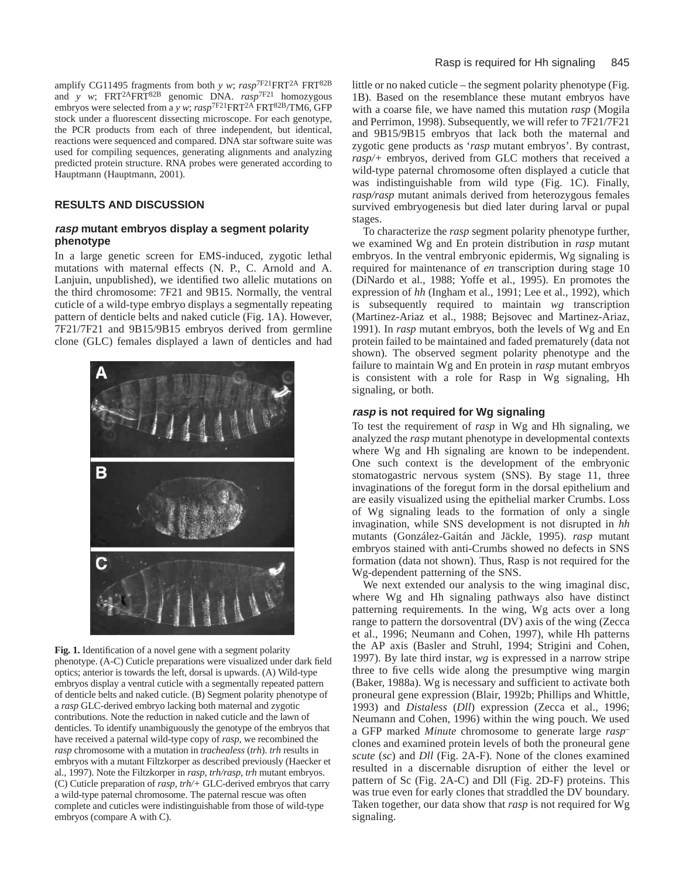amplify CG11495 fragments from both *y w*; *rasp*7F21FRT2A FRT82B and *y w*; FRT2AFRT82B genomic DNA. *rasp*7F21 homozygous embryos were selected from a *y w*;  $rasp^{7F21}FRT^{2A}FRT^{82B}/TM6$ , GFP stock under a fluorescent dissecting microscope. For each genotype, the PCR products from each of three independent, but identical, reactions were sequenced and compared. DNA star software suite was used for compiling sequences, generating alignments and analyzing predicted protein structure. RNA probes were generated according to Hauptmann (Hauptmann, 2001).

# **RESULTS AND DISCUSSION**

# **rasp mutant embryos display a segment polarity phenotype**

In a large genetic screen for EMS-induced, zygotic lethal mutations with maternal effects (N. P., C. Arnold and A. Lanjuin, unpublished), we identified two allelic mutations on the third chromosome: 7F21 and 9B15. Normally, the ventral cuticle of a wild-type embryo displays a segmentally repeating pattern of denticle belts and naked cuticle (Fig. 1A). However, 7F21/7F21 and 9B15/9B15 embryos derived from germline clone (GLC) females displayed a lawn of denticles and had



Fig. 1. Identification of a novel gene with a segment polarity phenotype. (A-C) Cuticle preparations were visualized under dark field optics; anterior is towards the left, dorsal is upwards. (A) Wild-type embryos display a ventral cuticle with a segmentally repeated pattern of denticle belts and naked cuticle. (B) Segment polarity phenotype of a *rasp* GLC-derived embryo lacking both maternal and zygotic contributions. Note the reduction in naked cuticle and the lawn of denticles. To identify unambiguously the genotype of the embryos that have received a paternal wild-type copy of *rasp*, we recombined the *rasp* chromosome with a mutation in *trachealess* (*trh*). *trh* results in embryos with a mutant Filtzkorper as described previously (Haecker et al., 1997). Note the Filtzkorper in *rasp, trh/rasp, trh* mutant embryos. (C) Cuticle preparation of *rasp, trh/+* GLC-derived embryos that carry a wild-type paternal chromosome. The paternal rescue was often complete and cuticles were indistinguishable from those of wild-type embryos (compare A with C).

little or no naked cuticle – the segment polarity phenotype (Fig. 1B). Based on the resemblance these mutant embryos have with a coarse file, we have named this mutation *rasp* (Mogila and Perrimon, 1998). Subsequently, we will refer to 7F21/7F21 and 9B15/9B15 embryos that lack both the maternal and zygotic gene products as '*rasp* mutant embryos'. By contrast, *rasp/+* embryos, derived from GLC mothers that received a wild-type paternal chromosome often displayed a cuticle that was indistinguishable from wild type (Fig. 1C). Finally, *rasp/rasp* mutant animals derived from heterozygous females survived embryogenesis but died later during larval or pupal stages.

To characterize the *rasp* segment polarity phenotype further, we examined Wg and En protein distribution in *rasp* mutant embryos. In the ventral embryonic epidermis, Wg signaling is required for maintenance of *en* transcription during stage 10 (DiNardo et al., 1988; Yoffe et al., 1995). En promotes the expression of *hh* (Ingham et al., 1991; Lee et al., 1992), which is subsequently required to maintain *wg* transcription (Martinez-Ariaz et al., 1988; Bejsovec and Martinez-Ariaz, 1991). In *rasp* mutant embryos, both the levels of Wg and En protein failed to be maintained and faded prematurely (data not shown). The observed segment polarity phenotype and the failure to maintain Wg and En protein in *rasp* mutant embryos is consistent with a role for Rasp in Wg signaling, Hh signaling, or both.

# **rasp is not required for Wg signaling**

To test the requirement of *rasp* in Wg and Hh signaling, we analyzed the *rasp* mutant phenotype in developmental contexts where Wg and Hh signaling are known to be independent. One such context is the development of the embryonic stomatogastric nervous system (SNS). By stage 11, three invaginations of the foregut form in the dorsal epithelium and are easily visualized using the epithelial marker Crumbs. Loss of Wg signaling leads to the formation of only a single invagination, while SNS development is not disrupted in *hh* mutants (González-Gaitán and Jäckle, 1995). *rasp* mutant embryos stained with anti-Crumbs showed no defects in SNS formation (data not shown). Thus, Rasp is not required for the Wg-dependent patterning of the SNS.

We next extended our analysis to the wing imaginal disc, where Wg and Hh signaling pathways also have distinct patterning requirements. In the wing, Wg acts over a long range to pattern the dorsoventral (DV) axis of the wing (Zecca et al., 1996; Neumann and Cohen, 1997), while Hh patterns the AP axis (Basler and Struhl, 1994; Strigini and Cohen, 1997). By late third instar, *wg* is expressed in a narrow stripe three to five cells wide along the presumptive wing margin (Baker, 1988a). Wg is necessary and sufficient to activate both proneural gene expression (Blair, 1992b; Phillips and Whittle, 1993) and *Distaless* (*Dll*) expression (Zecca et al., 1996; Neumann and Cohen, 1996) within the wing pouch. We used a GFP marked *Minute* chromosome to generate large *rasp–* clones and examined protein levels of both the proneural gene *scute* (*sc*) and *Dll* (Fig. 2A-F). None of the clones examined resulted in a discernable disruption of either the level or pattern of Sc (Fig. 2A-C) and Dll (Fig. 2D-F) proteins. This was true even for early clones that straddled the DV boundary. Taken together, our data show that *rasp* is not required for Wg signaling.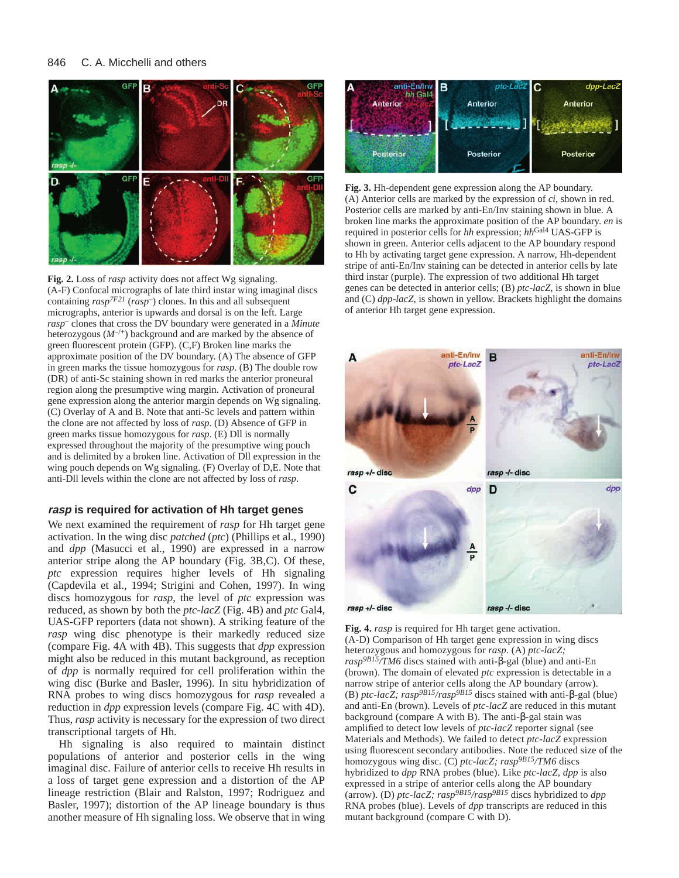



# **rasp is required for activation of Hh target genes**

We next examined the requirement of *rasp* for Hh target gene activation. In the wing disc *patched* (*ptc*) (Phillips et al., 1990) and *dpp* (Masucci et al., 1990) are expressed in a narrow anterior stripe along the AP boundary (Fig. 3B,C). Of these, *ptc* expression requires higher levels of Hh signaling (Capdevila et al., 1994; Strigini and Cohen, 1997). In wing discs homozygous for *rasp*, the level of *ptc* expression was reduced, as shown by both the *ptc*-*lacZ* (Fig. 4B) and *ptc* Gal4, UAS-GFP reporters (data not shown). A striking feature of the *rasp* wing disc phenotype is their markedly reduced size (compare Fig. 4A with 4B). This suggests that *dpp* expression might also be reduced in this mutant background, as reception of *dpp* is normally required for cell proliferation within the wing disc (Burke and Basler, 1996). In situ hybridization of RNA probes to wing discs homozygous for *rasp* revealed a reduction in *dpp* expression levels (compare Fig. 4C with 4D). Thus, *rasp* activity is necessary for the expression of two direct transcriptional targets of Hh.

Hh signaling is also required to maintain distinct populations of anterior and posterior cells in the wing imaginal disc. Failure of anterior cells to receive Hh results in a loss of target gene expression and a distortion of the AP lineage restriction (Blair and Ralston, 1997; Rodriguez and Basler, 1997); distortion of the AP lineage boundary is thus another measure of Hh signaling loss. We observe that in wing



**Fig. 3.** Hh-dependent gene expression along the AP boundary. (A) Anterior cells are marked by the expression of *ci*, shown in red. Posterior cells are marked by anti-En/Inv staining shown in blue. A broken line marks the approximate position of the AP boundary. *en* is required in posterior cells for *hh* expression;  $hh^{\text{Gal4}}$  UAS-GFP is shown in green. Anterior cells adjacent to the AP boundary respond to Hh by activating target gene expression. A narrow, Hh-dependent stripe of anti-En/Inv staining can be detected in anterior cells by late third instar (purple). The expression of two additional Hh target genes can be detected in anterior cells; (B) *ptc*-*lacZ*, is shown in blue and (C) *dpp*-*lacZ*, is shown in yellow. Brackets highlight the domains of anterior Hh target gene expression.



**Fig. 4.** *rasp* is required for Hh target gene activation. (A-D) Comparison of Hh target gene expression in wing discs heterozygous and homozygous for *rasp*. (A) *ptc-lacZ; rasp9B15/TM6* discs stained with anti-β-gal (blue) and anti-En (brown). The domain of elevated *ptc* expression is detectable in a narrow stripe of anterior cells along the AP boundary (arrow). (B) *ptc-lacZ; rasp9B15/rasp9B15* discs stained with anti-β-gal (blue) and anti-En (brown). Levels of *ptc-lacZ* are reduced in this mutant background (compare A with B). The anti-β-gal stain was amplified to detect low levels of *ptc-lacZ* reporter signal (see Materials and Methods). We failed to detect *ptc-lacZ* expression using fluorescent secondary antibodies. Note the reduced size of the homozygous wing disc. (C) *ptc-lacZ; rasp9B15/TM6* discs hybridized to *dpp* RNA probes (blue). Like *ptc-lacZ, dpp* is also expressed in a stripe of anterior cells along the AP boundary (arrow). (D) *ptc-lacZ; rasp9B15/rasp9B15* discs hybridized to *dpp* RNA probes (blue). Levels of *dpp* transcripts are reduced in this mutant background (compare C with D).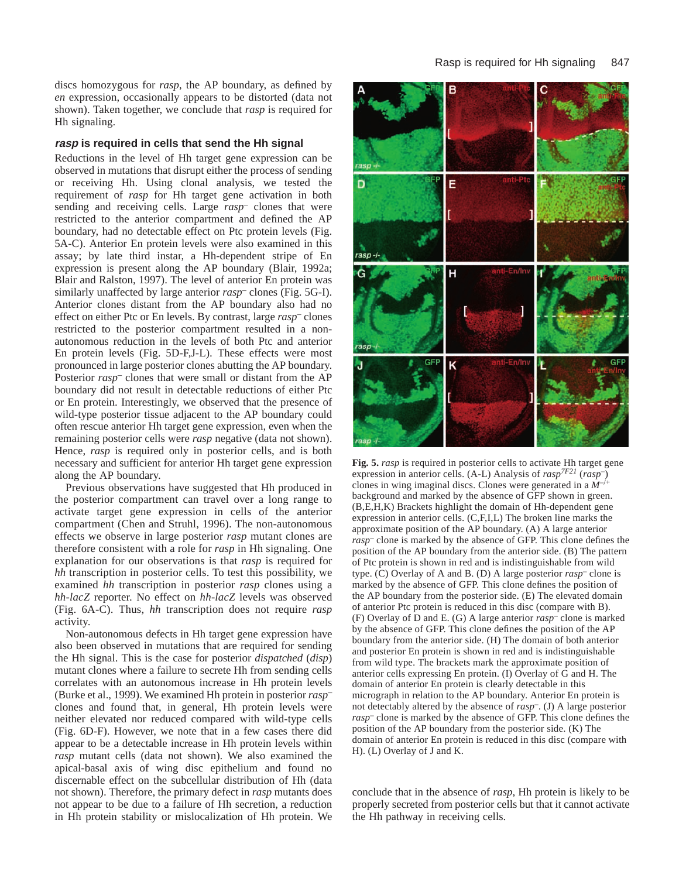discs homozygous for *rasp*, the AP boundary, as defined by *en* expression, occasionally appears to be distorted (data not shown). Taken together, we conclude that *rasp* is required for Hh signaling.

#### **rasp is required in cells that send the Hh signal**

Reductions in the level of Hh target gene expression can be observed in mutations that disrupt either the process of sending or receiving Hh. Using clonal analysis, we tested the requirement of *rasp* for Hh target gene activation in both sending and receiving cells. Large *rasp–* clones that were restricted to the anterior compartment and defined the AP boundary, had no detectable effect on Ptc protein levels (Fig. 5A-C). Anterior En protein levels were also examined in this assay; by late third instar, a Hh-dependent stripe of En expression is present along the AP boundary (Blair, 1992a; Blair and Ralston, 1997). The level of anterior En protein was similarly unaffected by large anterior *rasp–* clones (Fig. 5G-I). Anterior clones distant from the AP boundary also had no effect on either Ptc or En levels. By contrast, large *rasp–* clones restricted to the posterior compartment resulted in a nonautonomous reduction in the levels of both Ptc and anterior En protein levels (Fig. 5D-F,J-L). These effects were most pronounced in large posterior clones abutting the AP boundary. Posterior *rasp*<sup>–</sup> clones that were small or distant from the AP boundary did not result in detectable reductions of either Ptc or En protein. Interestingly, we observed that the presence of wild-type posterior tissue adjacent to the AP boundary could often rescue anterior Hh target gene expression, even when the remaining posterior cells were *rasp* negative (data not shown). Hence, *rasp* is required only in posterior cells, and is both necessary and sufficient for anterior Hh target gene expression along the AP boundary.

Previous observations have suggested that Hh produced in the posterior compartment can travel over a long range to activate target gene expression in cells of the anterior compartment (Chen and Struhl, 1996). The non-autonomous effects we observe in large posterior *rasp* mutant clones are therefore consistent with a role for *rasp* in Hh signaling. One explanation for our observations is that *rasp* is required for *hh* transcription in posterior cells. To test this possibility, we examined *hh* transcription in posterior *rasp* clones using a *hh*-*lacZ* reporter. No effect on *hh*-*lacZ* levels was observed (Fig. 6A-C). Thus, *hh* transcription does not require *rasp* activity.

Non-autonomous defects in Hh target gene expression have also been observed in mutations that are required for sending the Hh signal. This is the case for posterior *dispatched* (*disp*) mutant clones where a failure to secrete Hh from sending cells correlates with an autonomous increase in Hh protein levels (Burke et al., 1999). We examined Hh protein in posterior *rasp–* clones and found that, in general, Hh protein levels were neither elevated nor reduced compared with wild-type cells (Fig. 6D-F). However, we note that in a few cases there did appear to be a detectable increase in Hh protein levels within *rasp* mutant cells (data not shown). We also examined the apical-basal axis of wing disc epithelium and found no discernable effect on the subcellular distribution of Hh (data not shown). Therefore, the primary defect in *rasp* mutants does not appear to be due to a failure of Hh secretion, a reduction in Hh protein stability or mislocalization of Hh protein. We



**Fig. 5.** *rasp* is required in posterior cells to activate Hh target gene expression in anterior cells. (A-L) Analysis of *rasp7F21* (*rasp*–) clones in wing imaginal discs. Clones were generated in a *M–*/+ background and marked by the absence of GFP shown in green. (B,E,H,K) Brackets highlight the domain of Hh-dependent gene expression in anterior cells. (C,F,I,L) The broken line marks the approximate position of the AP boundary. (A) A large anterior *rasp*– clone is marked by the absence of GFP. This clone defines the position of the AP boundary from the anterior side. (B) The pattern of Ptc protein is shown in red and is indistinguishable from wild type. (C) Overlay of A and B. (D) A large posterior *rasp*– clone is marked by the absence of GFP. This clone defines the position of the AP boundary from the posterior side. (E) The elevated domain of anterior Ptc protein is reduced in this disc (compare with B). (F) Overlay of D and E. (G) A large anterior *rasp*– clone is marked by the absence of GFP. This clone defines the position of the AP boundary from the anterior side. (H) The domain of both anterior and posterior En protein is shown in red and is indistinguishable from wild type. The brackets mark the approximate position of anterior cells expressing En protein. (I) Overlay of G and H. The domain of anterior En protein is clearly detectable in this micrograph in relation to the AP boundary. Anterior En protein is not detectably altered by the absence of *rasp*–. (J) A large posterior *rasp*– clone is marked by the absence of GFP. This clone defines the position of the AP boundary from the posterior side. (K) The domain of anterior En protein is reduced in this disc (compare with H). (L) Overlay of J and K.

conclude that in the absence of *rasp*, Hh protein is likely to be properly secreted from posterior cells but that it cannot activate the Hh pathway in receiving cells.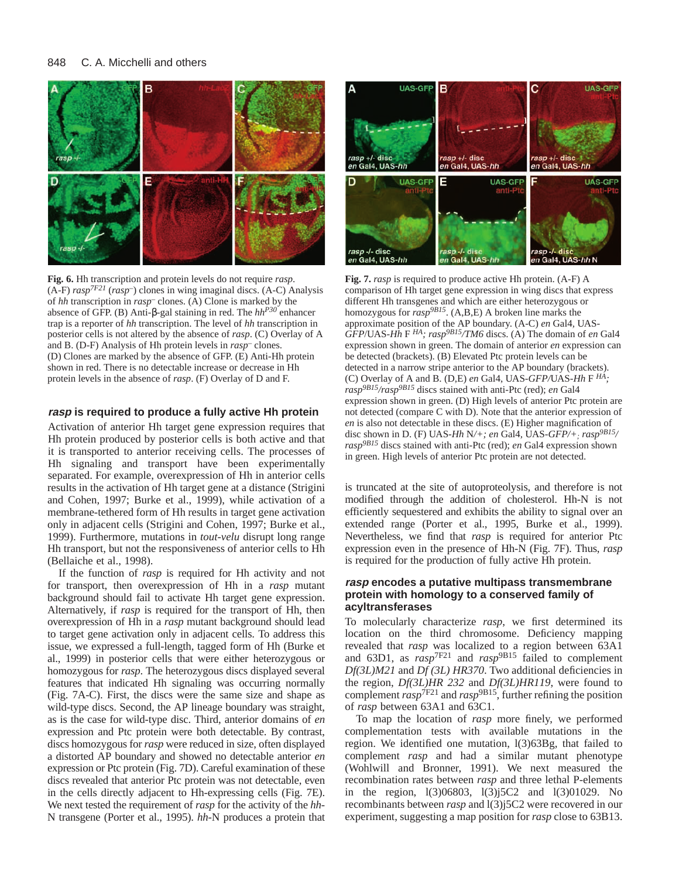#### 848 C. A. Micchelli and others



**Fig. 6.** Hh transcription and protein levels do not require *rasp*.  $(A-F)$  *rasp*<sup>7F21</sup> (*rasp*<sup>-</sup>) clones in wing imaginal discs. (A-C) Analysis of *hh* transcription in *rasp*– clones. (A) Clone is marked by the absence of GFP. (B) Anti-β-gal staining in red. The *hhP30* enhancer trap is a reporter of *hh* transcription. The level of *hh* transcription in posterior cells is not altered by the absence of *rasp*. (C) Overlay of A and B. (D-F) Analysis of Hh protein levels in *rasp*– clones. (D) Clones are marked by the absence of GFP. (E) Anti-Hh protein shown in red. There is no detectable increase or decrease in Hh protein levels in the absence of *rasp*. (F) Overlay of D and F.

# **rasp is required to produce a fully active Hh protein**

Activation of anterior Hh target gene expression requires that Hh protein produced by posterior cells is both active and that it is transported to anterior receiving cells. The processes of Hh signaling and transport have been experimentally separated. For example, overexpression of Hh in anterior cells results in the activation of Hh target gene at a distance (Strigini and Cohen, 1997; Burke et al., 1999), while activation of a membrane-tethered form of Hh results in target gene activation only in adjacent cells (Strigini and Cohen, 1997; Burke et al., 1999). Furthermore, mutations in *tout-velu* disrupt long range Hh transport, but not the responsiveness of anterior cells to Hh (Bellaiche et al., 1998).

If the function of *rasp* is required for Hh activity and not for transport, then overexpression of Hh in a *rasp* mutant background should fail to activate Hh target gene expression. Alternatively, if *rasp* is required for the transport of Hh, then overexpression of Hh in a *rasp* mutant background should lead to target gene activation only in adjacent cells. To address this issue, we expressed a full-length, tagged form of Hh (Burke et al., 1999) in posterior cells that were either heterozygous or homozygous for *rasp*. The heterozygous discs displayed several features that indicated Hh signaling was occurring normally (Fig. 7A-C). First, the discs were the same size and shape as wild-type discs. Second, the AP lineage boundary was straight, as is the case for wild-type disc. Third, anterior domains of *en* expression and Ptc protein were both detectable. By contrast, discs homozygous for *rasp* were reduced in size, often displayed a distorted AP boundary and showed no detectable anterior *en* expression or Ptc protein (Fig. 7D). Careful examination of these discs revealed that anterior Ptc protein was not detectable, even in the cells directly adjacent to Hh-expressing cells (Fig. 7E). We next tested the requirement of *rasp* for the activity of the *hh*-N transgene (Porter et al., 1995). *hh*-N produces a protein that



**Fig. 7.** *rasp* is required to produce active Hh protein. (A-F) A comparison of Hh target gene expression in wing discs that express different Hh transgenes and which are either heterozygous or homozygous for *rasp9B15*. (A,B,E) A broken line marks the approximate position of the AP boundary. (A-C) *en* Gal4*,* UAS-*GFP*/UAS-*Hh* F *HA; rasp9B15/TM6* discs. (A) The domain of *en* Gal4 expression shown in green. The domain of anterior *en* expression can be detected (brackets). (B) Elevated Ptc protein levels can be detected in a narrow stripe anterior to the AP boundary (brackets). (C) Overlay of A and B. (D,E) *en* Gal4, UAS-*GFP/*UAS-*Hh* F *HA; rasp9B15/rasp9B15* discs stained with anti-Ptc (red); *en* Gal4 expression shown in green. (D) High levels of anterior Ptc protein are not detected (compare C with D). Note that the anterior expression of *en* is also not detectable in these discs. (E) Higher magnification of disc shown in D. (F) UAS-*Hh* N*/+; en* Gal4*,* UAS-*GFP/+; rasp9B15/ rasp9B15* discs stained with anti-Ptc (red); *en* Gal4 expression shown in green. High levels of anterior Ptc protein are not detected.

is truncated at the site of autoproteolysis, and therefore is not modified through the addition of cholesterol. Hh-N is not efficiently sequestered and exhibits the ability to signal over an extended range (Porter et al., 1995, Burke et al., 1999). Nevertheless, we find that *rasp* is required for anterior Ptc expression even in the presence of Hh-N (Fig. 7F). Thus, *rasp* is required for the production of fully active Hh protein.

# **rasp encodes a putative multipass transmembrane protein with homology to a conserved family of acyltransferases**

To molecularly characterize *rasp*, we first determined its location on the third chromosome. Deficiency mapping revealed that *rasp* was localized to a region between 63A1 and 63D1, as  $r \alpha s p^{7F21}$  and  $r \alpha s p^{9B15}$  failed to complement *Df(3L)M21* and *Df (3L) HR370*. Two additional deficiencies in the region, *Df(3L)HR 232* and *Df(3L)HR119*, were found to complement  $rasp$ <sup>7F21</sup> and  $rasp$ <sup>9B15</sup>, further refining the position of *rasp* between 63A1 and 63C1.

To map the location of *rasp* more finely, we performed complementation tests with available mutations in the region. We identified one mutation, l(3)63Bg, that failed to complement *rasp* and had a similar mutant phenotype (Wohlwill and Bronner, 1991). We next measured the recombination rates between *rasp* and three lethal P-elements in the region, l(3)06803, l(3)j5C2 and l(3)01029. No recombinants between *rasp* and l(3)j5C2 were recovered in our experiment, suggesting a map position for *rasp* close to 63B13.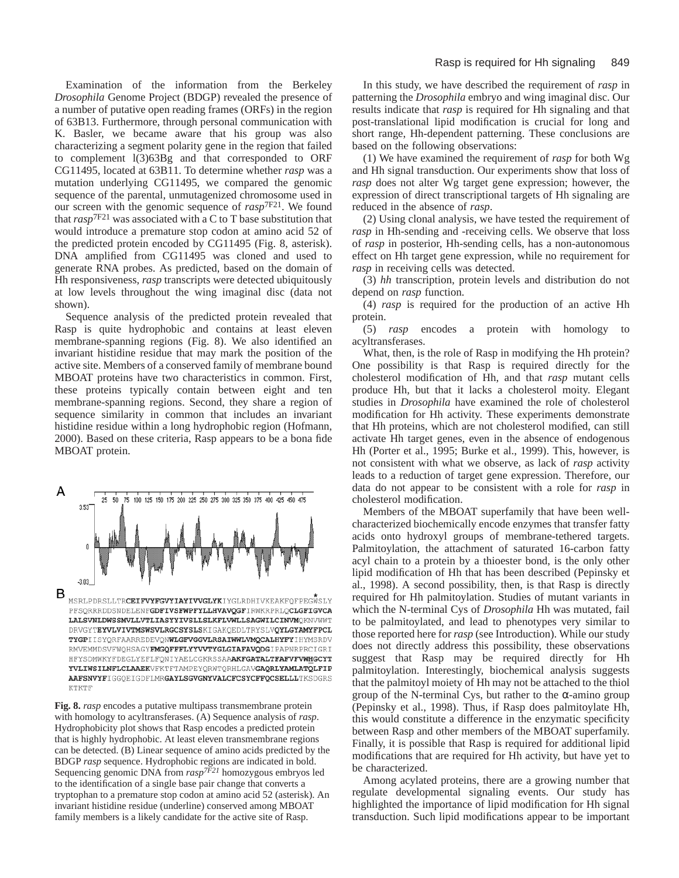Examination of the information from the Berkeley *Drosophila* Genome Project (BDGP) revealed the presence of a number of putative open reading frames (ORFs) in the region of 63B13. Furthermore, through personal communication with K. Basler, we became aware that his group was also characterizing a segment polarity gene in the region that failed to complement l(3)63Bg and that corresponded to ORF CG11495, located at 63B11. To determine whether *rasp* was a mutation underlying CG11495, we compared the genomic sequence of the parental, unmutagenized chromosome used in our screen with the genomic sequence of *rasp*7F21. We found that *rasp*7F21 was associated with a C to T base substitution that would introduce a premature stop codon at amino acid 52 of the predicted protein encoded by CG11495 (Fig. 8, asterisk). DNA amplified from CG11495 was cloned and used to generate RNA probes. As predicted, based on the domain of Hh responsiveness, *rasp* transcripts were detected ubiquitously at low levels throughout the wing imaginal disc (data not shown).

Sequence analysis of the predicted protein revealed that Rasp is quite hydrophobic and contains at least eleven membrane-spanning regions (Fig. 8). We also identified an invariant histidine residue that may mark the position of the active site. Members of a conserved family of membrane bound MBOAT proteins have two characteristics in common. First, these proteins typically contain between eight and ten membrane-spanning regions. Second, they share a region of sequence similarity in common that includes an invariant histidine residue within a long hydrophobic region (Hofmann, 2000). Based on these criteria, Rasp appears to be a bona fide MBOAT protein.



HFYSDMWKYFDEGLYEFLFQNIYAELCGKRSSAAAKFGATALTFAFVFVWHGCYT YVLIWSILNFLCLAAEKVFKTFTAMPEYQRWTQRHLGAVGAQRLYAMLATQLFIP AAFSNVYFIGGQEIGDFLMRGAYLSGVGNYVALCFCSYCFFQCSELLLTKSDGRS **KTKTF** 

**Fig. 8.** *rasp* encodes a putative multipass transmembrane protein with homology to acyltransferases. (A) Sequence analysis of *rasp*. Hydrophobicity plot shows that Rasp encodes a predicted protein that is highly hydrophobic. At least eleven transmembrane regions can be detected. (B) Linear sequence of amino acids predicted by the BDGP *rasp* sequence. Hydrophobic regions are indicated in bold. Sequencing genomic DNA from  $rasp^{7F21}$  homozygous embryos led to the identification of a single base pair change that converts a tryptophan to a premature stop codon at amino acid 52 (asterisk). An invariant histidine residue (underline) conserved among MBOAT family members is a likely candidate for the active site of Rasp.

In this study, we have described the requirement of *rasp* in patterning the *Drosophila* embryo and wing imaginal disc. Our results indicate that *rasp* is required for Hh signaling and that post-translational lipid modification is crucial for long and short range, Hh-dependent patterning. These conclusions are based on the following observations:

(1) We have examined the requirement of *rasp* for both Wg and Hh signal transduction. Our experiments show that loss of *rasp* does not alter Wg target gene expression; however, the expression of direct transcriptional targets of Hh signaling are reduced in the absence of *rasp*.

(2) Using clonal analysis, we have tested the requirement of *rasp* in Hh-sending and -receiving cells. We observe that loss of *rasp* in posterior, Hh-sending cells, has a non-autonomous effect on Hh target gene expression, while no requirement for *rasp* in receiving cells was detected.

(3) *hh* transcription, protein levels and distribution do not depend on *rasp* function.

(4) *rasp* is required for the production of an active Hh protein.

(5) *rasp* encodes a protein with homology to acyltransferases.

What, then, is the role of Rasp in modifying the Hh protein? One possibility is that Rasp is required directly for the cholesterol modification of Hh, and that *rasp* mutant cells produce Hh, but that it lacks a cholesterol moity. Elegant studies in *Drosophila* have examined the role of cholesterol modification for Hh activity. These experiments demonstrate that Hh proteins, which are not cholesterol modified, can still activate Hh target genes, even in the absence of endogenous Hh (Porter et al., 1995; Burke et al., 1999). This, however, is not consistent with what we observe, as lack of *rasp* activity leads to a reduction of target gene expression. Therefore, our data do not appear to be consistent with a role for *rasp* in cholesterol modification.

Members of the MBOAT superfamily that have been wellcharacterized biochemically encode enzymes that transfer fatty acids onto hydroxyl groups of membrane-tethered targets. Palmitoylation, the attachment of saturated 16-carbon fatty acyl chain to a protein by a thioester bond, is the only other lipid modification of Hh that has been described (Pepinsky et al., 1998). A second possibility, then, is that Rasp is directly required for Hh palmitoylation. Studies of mutant variants in which the N-terminal Cys of *Drosophila* Hh was mutated, fail to be palmitoylated, and lead to phenotypes very similar to those reported here for *rasp* (see Introduction). While our study does not directly address this possibility, these observations suggest that Rasp may be required directly for Hh palmitoylation. Interestingly, biochemical analysis suggests that the palmitoyl moiety of Hh may not be attached to the thiol group of the N-terminal Cys, but rather to the  $\alpha$ -amino group (Pepinsky et al., 1998). Thus, if Rasp does palmitoylate Hh, this would constitute a difference in the enzymatic specificity between Rasp and other members of the MBOAT superfamily. Finally, it is possible that Rasp is required for additional lipid modifications that are required for Hh activity, but have yet to be characterized.

Among acylated proteins, there are a growing number that regulate developmental signaling events. Our study has highlighted the importance of lipid modification for Hh signal transduction. Such lipid modifications appear to be important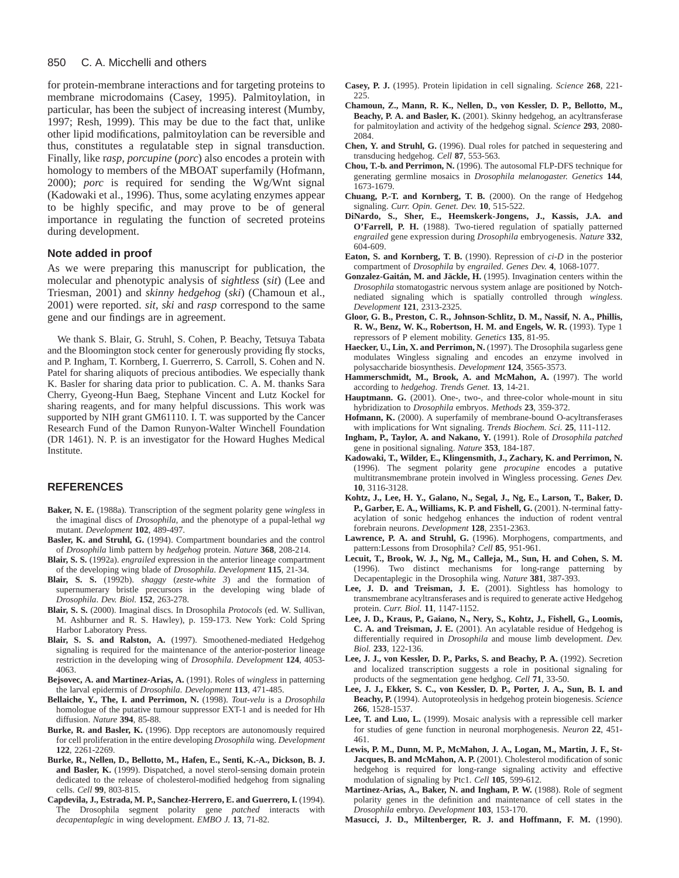#### 850 C. A. Micchelli and others

for protein-membrane interactions and for targeting proteins to membrane microdomains (Casey, 1995). Palmitoylation, in particular, has been the subject of increasing interest (Mumby, 1997; Resh, 1999). This may be due to the fact that, unlike other lipid modifications, palmitoylation can be reversible and thus, constitutes a regulatable step in signal transduction. Finally, like r*asp*, *porcupine* (*porc*) also encodes a protein with homology to members of the MBOAT superfamily (Hofmann, 2000); *porc* is required for sending the Wg/Wnt signal (Kadowaki et al., 1996). Thus, some acylating enzymes appear to be highly specific, and may prove to be of general importance in regulating the function of secreted proteins during development.

# **Note added in proof**

As we were preparing this manuscript for publication, the molecular and phenotypic analysis of *sightless* (*sit*) (Lee and Triesman, 2001) and *skinny hedgehog* (*ski*) (Chamoun et al., 2001) were reported. *sit, ski* and *rasp* correspond to the same gene and our findings are in agreement.

We thank S. Blair, G. Struhl, S. Cohen, P. Beachy, Tetsuya Tabata and the Bloomington stock center for generously providing fly stocks, and P. Ingham, T. Kornberg, I. Guerrerro, S. Carroll, S. Cohen and N. Patel for sharing aliquots of precious antibodies. We especially thank K. Basler for sharing data prior to publication. C. A. M. thanks Sara Cherry, Gyeong-Hun Baeg, Stephane Vincent and Lutz Kockel for sharing reagents, and for many helpful discussions. This work was supported by NIH grant GM61110. I. T. was supported by the Cancer Research Fund of the Damon Runyon-Walter Winchell Foundation (DR 1461). N. P. is an investigator for the Howard Hughes Medical Institute.

# **REFERENCES**

- **Baker, N. E.** (1988a). Transcription of the segment polarity gene *wingless* in the imaginal discs of *Drosophila*, and the phenotype of a pupal-lethal *wg* mutant. *Development* **102**, 489-497.
- **Basler, K. and Struhl, G.** (1994). Compartment boundaries and the control of *Drosophila* limb pattern by *hedgehog* protein. *Nature* **368**, 208-214.
- **Blair, S. S.** (1992a). *engrailed* expression in the anterior lineage compartment of the developing wing blade of *Drosophila*. *Development* **115**, 21-34.
- **Blair, S. S.** (1992b). *shaggy* (*zeste-white 3*) and the formation of supernumerary bristle precursors in the developing wing blade of *Drosophila*. *Dev. Biol.* **152**, 263-278.
- **Blair, S. S.** (2000). Imaginal discs. In Drosophila *Protocols* (ed. W. Sullivan, M. Ashburner and R. S. Hawley), p. 159-173. New York: Cold Spring Harbor Laboratory Press.
- **Blair, S. S. and Ralston, A.** (1997). Smoothened-mediated Hedgehog signaling is required for the maintenance of the anterior-posterior lineage restriction in the developing wing of *Drosophila*. *Development* **124**, 4053- 4063.
- **Bejsovec, A. and Martinez-Arias, A.** (1991). Roles of *wingless* in patterning the larval epidermis of *Drosophila*. *Development* **113**, 471-485.
- **Bellaiche, Y., The, I. and Perrimon, N.** (1998). *Tout-velu* is a *Drosophila* homologue of the putative tumour suppressor EXT-1 and is needed for Hh diffusion. *Nature* **394**, 85-88.
- **Burke, R. and Basler, K.** (1996). Dpp receptors are autonomously required for cell proliferation in the entire developing *Drosophila* wing. *Development* **122**, 2261-2269.
- **Burke, R., Nellen, D., Bellotto, M., Hafen, E., Senti, K.-A., Dickson, B. J. and Basler, K.** (1999). Dispatched, a novel sterol-sensing domain protein dedicated to the release of cholesterol-modified hedgehog from signaling cells. *Cell* **99**, 803-815.
- **Capdevila, J., Estrada, M. P., Sanchez-Herrero, E. and Guerrero, I.** (1994). The Drosophila segment polarity gene *patched* interacts with *decapentaplegic* in wing development. *EMBO J.* **13**, 71-82.
- **Casey, P. J.** (1995). Protein lipidation in cell signaling. *Science* **268**, 221- 225.
- **Chamoun, Z., Mann, R. K., Nellen, D., von Kessler, D. P., Bellotto, M.,** Beachy, P. A. and Basler, K. (2001). Skinny hedgehog, an acyltransferase for palmitoylation and activity of the hedgehog signal. *Science* **293**, 2080- 2084.
- **Chen, Y. and Struhl, G.** (1996). Dual roles for patched in sequestering and transducing hedgehog. *Cell* **87**, 553-563.
- **Chou, T.-b. and Perrimon, N.** (1996). The autosomal FLP-DFS technique for generating germline mosaics in *Drosophila melanogaster. Genetics* **144**, 1673-1679.
- **Chuang, P.-T. and Kornberg, T. B.** (2000). On the range of Hedgehog signaling. *Curr. Opin. Genet. Dev.* **10**, 515-522.
- **DiNardo, S., Sher, E., Heemskerk-Jongens, J., Kassis, J.A. and O'Farrell, P. H.** (1988). Two-tiered regulation of spatially patterned *engrailed* gene expression during *Drosophila* embryogenesis. *Nature* **332**, 604-609.
- **Eaton, S. and Kornberg, T. B.** (1990). Repression of *ci-D* in the posterior compartment of *Drosophila* by *engrailed*. *Genes Dev.* **4**, 1068-1077.
- **Gonzalez-Gaitán, M. and Jäckle, H.** (1995). Invagination centers within the *Drosophila* stomatogastric nervous system anlage are positioned by Notchnediated signaling which is spatially controlled through *wingless*. *Development* **121**, 2313-2325.
- **Gloor, G. B., Preston, C. R., Johnson-Schlitz, D. M., Nassif, N. A., Phillis, R. W., Benz, W. K., Robertson, H. M. and Engels, W. R.** (1993). Type 1 repressors of P element mobility. *Genetics* **135**, 81-95.
- Haecker, U., Lin, X. and Perrimon, N. (1997). The Drosophila sugarless gene modulates Wingless signaling and encodes an enzyme involved in polysaccharide biosynthesis. *Development* **124**, 3565-3573.
- **Hammerschmidt, M., Brook, A. and McMahon, A.** (1997). The world according to *hedgehog*. *Trends Genet.* **13**, 14-21.
- Hauptmann. G. (2001). One-, two-, and three-color whole-mount in situ hybridization to *Drosophila* embryos. *Methods* **23**, 359-372.
- **Hofmann, K.** (2000). A superfamily of membrane-bound O-acyltransferases with implications for Wnt signaling. *Trends Biochem. Sci.* **25**, 111-112.
- **Ingham, P., Taylor, A. and Nakano, Y.** (1991). Role of *Drosophila patched* gene in positional signaling. *Nature* **353**, 184-187.
- **Kadowaki, T., Wilder, E., Klingensmith, J., Zachary, K. and Perrimon, N.** (1996). The segment polarity gene *procupine* encodes a putative multitransmembrane protein involved in Wingless processing. *Genes Dev.* **10**, 3116-3128.
- **Kohtz, J., Lee, H. Y., Galano, N., Segal, J., Ng, E., Larson, T., Baker, D. P., Garber, E. A., Williams, K. P. and Fishell, G.** (2001). N-terminal fattyacylation of sonic hedgehog enhances the induction of rodent ventral forebrain neurons. *Development* **128**, 2351-2363.
- **Lawrence, P. A. and Struhl, G.** (1996). Morphogens, compartments, and pattern:Lessons from Drosophila? *Cell* **85**, 951-961.
- **Lecuit, T., Brook, W. J., Ng, M., Calleja, M., Sun, H. and Cohen, S. M.** (1996). Two distinct mechanisms for long-range patterning by Decapentaplegic in the Drosophila wing. *Nature* **381**, 387-393.
- **Lee, J. D. and Treisman, J. E.** (2001). Sightless has homology to transmembrane acyltransferases and is required to generate active Hedgehog protein. *Curr. Biol.* **11**, 1147-1152.
- **Lee, J. D., Kraus, P., Gaiano, N., Nery, S., Kohtz, J., Fishell, G., Loomis, C. A. and Treisman, J. E.** (2001). An acylatable residue of Hedgehog is differentially required in *Drosophila* and mouse limb development. *Dev. Biol.* **233**, 122-136.
- Lee, J. J., von Kessler, D. P., Parks, S. and Beachy, P. A. (1992). Secretion and localized transcription suggests a role in positional signaling for products of the segmentation gene hedghog. *Cell* **71**, 33-50.
- **Lee, J. J., Ekker, S. C., von Kessler, D. P., Porter, J. A., Sun, B. I. and Beachy, P.** (1994). Autoproteolysis in hedgehog protein biogenesis. *Science* **266**, 1528-1537.
- **Lee, T. and Luo, L.** (1999). Mosaic analysis with a repressible cell marker for studies of gene function in neuronal morphogenesis. *Neuron* **22**, 451- 461.
- **Lewis, P. M., Dunn, M. P., McMahon, J. A., Logan, M., Martin, J. F., St-Jacques, B. and McMahon, A. P.** (2001). Cholesterol modification of sonic hedgehog is required for long-range signaling activity and effective modulation of signaling by Ptc1. *Cell* **105**, 599-612.
- Martinez-Arias, A., Baker, N. and Ingham, P. W. (1988). Role of segment polarity genes in the definition and maintenance of cell states in the *Drosophila* embryo. *Development* **103**, 153-170.
- **Masucci, J. D., Miltenberger, R. J. and Hoffmann, F. M.** (1990).